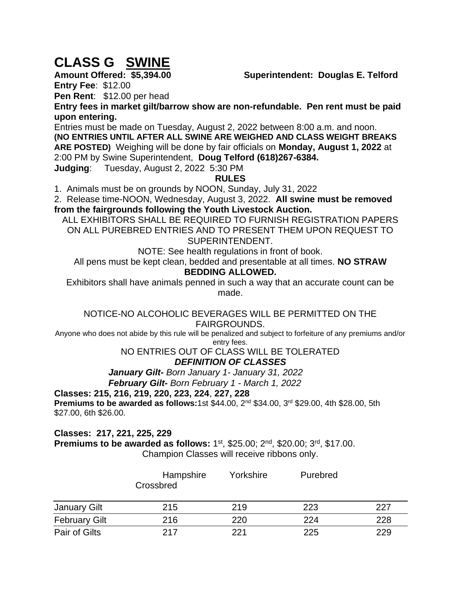# **CLASS G SWINE**

**Amount Offered: \$5,394.00 Superintendent: Douglas E. Telford** 

**Entry Fee**: \$12.00

**Pen Rent**: \$12.00 per head

**Entry fees in market gilt/barrow show are non-refundable. Pen rent must be paid upon entering.** 

Entries must be made on Tuesday, August 2, 2022 between 8:00 a.m. and noon. **(NO ENTRIES UNTIL AFTER ALL SWINE ARE WEIGHED AND CLASS WEIGHT BREAKS ARE POSTED)** Weighing will be done by fair officials on **Monday, August 1, 2022** at 2:00 PM by Swine Superintendent, **Doug Telford (618)267-6384.**

**Judging**: Tuesday, August 2, 2022 5:30 PM

## **RULES**

1. Animals must be on grounds by NOON, Sunday, July 31, 2022

2. Release time-NOON, Wednesday, August 3, 2022. **All swine must be removed from the fairgrounds following the Youth Livestock Auction.**

ALL EXHIBITORS SHALL BE REQUIRED TO FURNISH REGISTRATION PAPERS ON ALL PUREBRED ENTRIES AND TO PRESENT THEM UPON REQUEST TO SUPERINTENDENT.

NOTE: See health regulations in front of book.

All pens must be kept clean, bedded and presentable at all times. **NO STRAW** 

#### **BEDDING ALLOWED.**

Exhibitors shall have animals penned in such a way that an accurate count can be made.

#### NOTICE-NO ALCOHOLIC BEVERAGES WILL BE PERMITTED ON THE FAIRGROUNDS.

Anyone who does not abide by this rule will be penalized and subject to forfeiture of any premiums and/or entry fees.

#### NO ENTRIES OUT OF CLASS WILL BE TOLERATED *DEFINITION OF CLASSES*

*January Gilt- Born January 1- January 31, 2022 February Gilt- Born February 1 - March 1, 2022*

## **Classes: 215, 216, 219, 220, 223, 224**, **227, 228**

**Premiums to be awarded as follows:**1st \$44.00, 2nd \$34.00, 3rd \$29.00, 4th \$28.00, 5th \$27.00, 6th \$26.00.

## **Classes: 217, 221, 225, 229**

**Premiums to be awarded as follows:** 1<sup>st</sup>, \$25.00; 2<sup>nd</sup>, \$20.00; 3<sup>rd</sup>, \$17.00. Champion Classes will receive ribbons only.

|                      | Hampshire<br>Crossbred | Yorkshire | Purebred |     |
|----------------------|------------------------|-----------|----------|-----|
| January Gilt         | 215                    | 219       | 223      | 227 |
| <b>February Gilt</b> | 216                    | 220       | 224      | 228 |
| Pair of Gilts        | 217                    | 221       | 225      | 229 |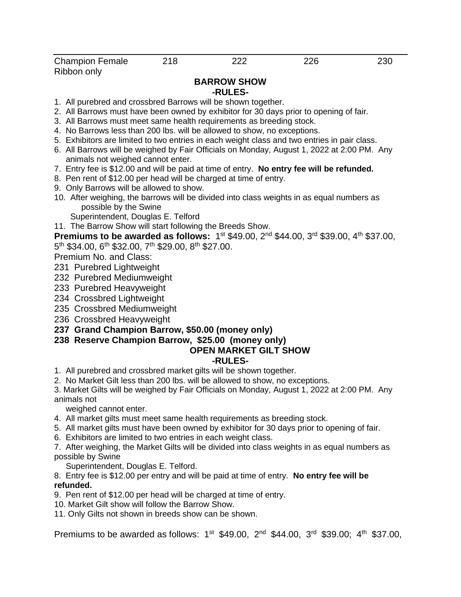## **BARROW SHOW**

#### **-RULES-**

- 1. All purebred and crossbred Barrows will be shown together.
- 2. All Barrows must have been owned by exhibitor for 30 days prior to opening of fair.
- 3. All Barrows must meet same health requirements as breeding stock.
- 4. No Barrows less than 200 lbs. will be allowed to show, no exceptions.
- 5. Exhibitors are limited to two entries in each weight class and two entries in pair class.
- 6. All Barrows will be weighed by Fair Officials on Monday, August 1, 2022 at 2:00 PM. Any animals not weighed cannot enter.
- 7. Entry fee is \$12.00 and will be paid at time of entry. **No entry fee will be refunded.**
- 8. Pen rent of \$12.00 per head will be charged at time of entry.
- 9. Only Barrows will be allowed to show.
- 10. After weighing, the barrows will be divided into class weights in as equal numbers as possible by the Swine

Superintendent, Douglas E. Telford

11. The Barrow Show will start following the Breeds Show.

**Premiums to be awarded as follows:** 1<sup>st</sup> \$49.00, 2<sup>nd</sup> \$44.00, 3<sup>rd</sup> \$39.00, 4<sup>th</sup> \$37.00,

5<sup>th</sup> \$34.00, 6<sup>th</sup> \$32.00, 7<sup>th</sup> \$29.00, 8<sup>th</sup> \$27.00.

Premium No. and Class:

- 231 Purebred Lightweight
- 232 Purebred Mediumweight
- 233 Purebred Heavyweight
- 234 Crossbred Lightweight
- 235 Crossbred Mediumweight
- 236 Crossbred Heavyweight
- **237 Grand Champion Barrow, \$50.00 (money only)**

## **238 Reserve Champion Barrow, \$25.00 (money only)**

## **OPEN MARKET GILT SHOW**

#### **-RULES-**

- 1. All purebred and crossbred market gilts will be shown together.
- 2. No Market Gilt less than 200 lbs. will be allowed to show, no exceptions.

3. Market Gilts will be weighed by Fair Officials on Monday, August 1, 2022 at 2:00 PM. Any animals not

weighed cannot enter.

- 4. All market gilts must meet same health requirements as breeding stock.
- 5. All market gilts must have been owned by exhibitor for 30 days prior to opening of fair.
- 6. Exhibitors are limited to two entries in each weight class.

7. After weighing, the Market Gilts will be divided into class weights in as equal numbers as possible by Swine

Superintendent, Douglas E. Telford.

8. Entry fee is \$12.00 per entry and will be paid at time of entry. **No entry fee will be refunded.**

9. Pen rent of \$12.00 per head will be charged at time of entry.

10. Market Gilt show will follow the Barrow Show.

11. Only Gilts not shown in breeds show can be shown.

Premiums to be awarded as follows:  $1^{st}$  \$49.00,  $2^{nd}$  \$44.00,  $3^{rd}$  \$39.00;  $4^{th}$  \$37.00,